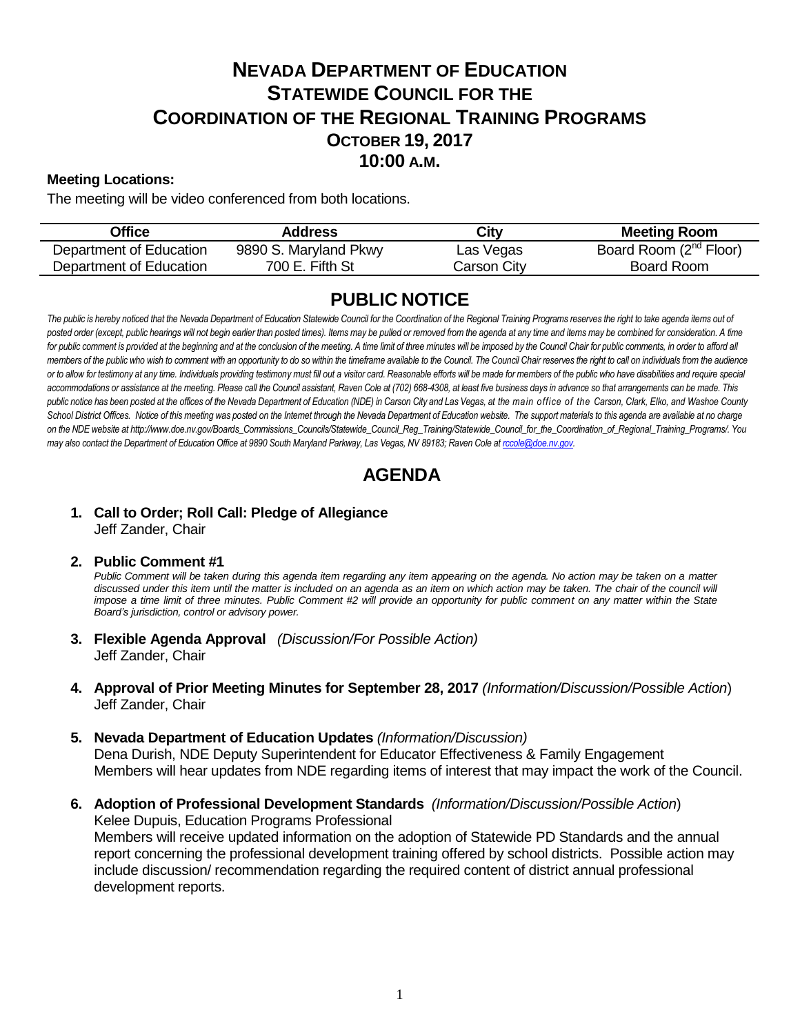# **NEVADA DEPARTMENT OF EDUCATION STATEWIDE COUNCIL FOR THE COORDINATION OF THE REGIONAL TRAINING PROGRAMS OCTOBER 19, 2017 10:00 A.M.**

### **Meeting Locations:**

The meeting will be video conferenced from both locations.

| Office                  | Address               | City        | <b>Meeting Room</b>                |
|-------------------------|-----------------------|-------------|------------------------------------|
| Department of Education | 9890 S. Maryland Pkwy | Las Vegas   | Board Room (2 <sup>nd</sup> Floor) |
| Department of Education | 700 E. Fifth St       | Carson City | Board Room                         |

## **PUBLIC NOTICE**

The public is hereby noticed that the Nevada Department of Education Statewide Council for the Coordination of the Regional Training Programs reserves the right to take agenda items out of posted order (except, public hearings will not begin earlier than posted times). Items may be pulled or removed from the agenda at any time and items may be combined for consideration. A time for public comment is provided at the beginning and at the conclusion of the meeting. A time limit of three minutes will be imposed by the Council Chair for public comments, in order to afford all *members of the public who wish to comment with an opportunity to do so within the timeframe available to the Council. The Council Chair reserves the right to call on individuals from the audience*  or to allow for testimony at any time. Individuals providing testimony must fill out a visitor card. Reasonable efforts will be made for members of the public who have disabilities and require special *accommodations or assistance at the meeting. Please call the Council assistant, Raven Cole at (702) 668-4308, at least five business days in advance so that arrangements can be made. This public notice has been posted at the offices of the Nevada Department of Education (NDE) in Carson City and Las Vegas, at the main office of the Carson, Clark, Elko, and Washoe County*  School District Offices. Notice of this meeting was posted on the Internet through th[e Nevada Department of Education w](http://www.doe.nv.gov/)ebsite. The support materials to this agenda are available at no charge *on the NDE website at http://www.doe.nv.gov/Boards\_Commissions\_Councils/Statewide\_Council\_Reg\_Training/Statewide\_Council\_for\_the\_Coordination\_of\_Regional\_Training\_Programs/. You may also contact the Department of Education Office at 9890 South Maryland Parkway, Las Vegas, NV 89183; Raven Cole at [rccole@doe.nv.gov.](mailto:rccole@doe.nv.gov)*

## **AGENDA**

#### **1. Call to Order; Roll Call: Pledge of Allegiance** Jeff Zander, Chair

#### **2. Public Comment #1**

Public Comment will be taken during this agenda item regarding any item appearing on the agenda. No action may be taken on a matter discussed under this item until the matter is included on an agenda as an item on which action may be taken. The chair of the council will *impose a time limit of three minutes. Public Comment #2 will provide an opportunity for public comment on any matter within the State Board's jurisdiction, control or advisory power.*

- **3. Flexible Agenda Approval** *(Discussion/For Possible Action)* Jeff Zander, Chair
- **4. Approval of Prior Meeting Minutes for September 28, 2017** *(Information/Discussion/Possible Action*) Jeff Zander, Chair
- **5. Nevada Department of Education Updates** *(Information/Discussion)* Dena Durish, NDE Deputy Superintendent for Educator Effectiveness & Family Engagement Members will hear updates from NDE regarding items of interest that may impact the work of the Council.
- **6. Adoption of Professional Development Standards** *(Information/Discussion/Possible Action*) Kelee Dupuis, Education Programs Professional Members will receive updated information on the adoption of Statewide PD Standards and the annual report concerning the professional development training offered by school districts. Possible action may include discussion/ recommendation regarding the required content of district annual professional development reports.